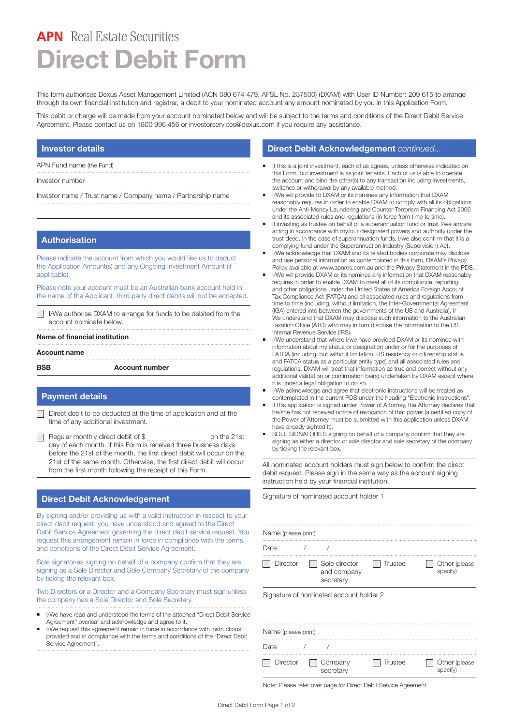# **APN** | Real Estate Securities **Direct Debit Form**

This form authorises Dexus Asset Management Limited (ACN 080 674 479, AFSL No. 237500) (DXAM) with User ID Number: 209 615 to arrange through its own financial institution and registrar, a debit to your nominated account any amount nominated by you in this Application Form.

This debit or charge will be made from your account nominated below and will be subject to the terms and conditions of the Direct Debit Service Agreement. Please contact us on 1800 996 456 or investorservices@dexus.com if you require any assistance.

## **Investor details**

APN Fund name (the Fund)

Investor number

Investor name / Trust name / Company name / Partnership name

#### **Authorisation**

Please indicate the account from which you would like us to deduct the Application Amount(s) and any Ongoing Investment Amount (if applicable).

Please note your account must be an Australian bank account held in the name of the Applicant, third party direct debits will not be accepted.

I/We authorise DXAM to arrange for funds to be debited from the account nominate below.

#### **Name of financial institution**

#### **Account name**

**BSB Account number**

## **Payment details**

- Direct debit to be deducted at the time of application and at the time of any additional investment.
- Regular monthly direct debit of \$ on the 21st day of each month. If this Form is received three business days before the 21st of the month, the first direct debit will occur on the 21st of the same month. Otherwise, the first direct debit will occur from the first month following the receipt of this Form.

## **Direct Debit Acknowledgement**

By signing and/or providing us with a valid instruction in respect to your direct debit request, you have understood and agreed to the Direct Debit Service Agreement governing the direct debit service request. You request this arrangement remain in force in compliance with the terms and conditions of the Direct Debit Service Agreement.

Sole signatories signing on behalf of a company confirm that they are signing as a Sole Director and Sole Company Secretary of the company by ticking the relevant box.

Two Directors or a Director and a Company Secretary must sign unless the company has a Sole Director and Sole Secretary.

- I/We have read and understood the terms of the attached "Direct Debit Service Agreement" overleaf and acknowledge and agree to it.
- I/We request this agreement remain in force in accordance with instructions provided and in compliance with the terms and conditions of the "Direct Debit Service Agreement".

#### **Direct Debit Acknowledgement** *continued...*

- ¡ If this is a joint investment, each of us agrees, unless otherwise indicated on this Form, our investment is as joint tenants. Each of us is able to operate the account and bind the other(s) to any transaction including investments, switches or withdrawal by any available method.
- I/We will provide to DXAM or its nominee any information that DXAM reasonably requires in order to enable DXAM to comply with all its obligations under the Anti-Money Laundering and Counter-Terrorism Financing Act 2006 and its associated rules and regulations (in force from time to time).
- **If investing as trustee on behalf of a superannuation fund or trust I/we am/are** acting in accordance with my/our designated powers and authority under the trust deed. In the case of superannuation funds, I/we also confirm that it is a complying fund under the Superannuation Industry (Supervision) Act.
- **I/We acknowledge that DXAM and its related bodies corporate may disclose** and use personal information as contemplated in this form, DXAM's Privacy Policy available at www.apnres.com.au and the Privacy Statement in the PDS.
- I/We will provide DXAM or its nominee any information that DXAM reasonably requires in order to enable DXAM to meet all of its compliance, reporting and other obligations under the United States of America Foreign Account Tax Compliance Act (FATCA) and all associated rules and regulations from time to time (including, without limitation, the Inter-Governmental Agreement (IGA) entered into between the governments of the US and Australia). I/ We understand that DXAM may disclose such information to the Australian Taxation Office (ATO) who may in turn disclose the information to the US Internal Revenue Service (IRS).
- I/We understand that where I/we have provided DXAM or its nominee with information about my status or designation under or for the purposes of FATCA (including, but without limitation, US residency or citizenship status and FATCA status as a particular entity type) and all associated rules and regulations, DXAM will treat that information as true and correct without any additional validation or confirmation being undertaken by DXAM except where it is under a legal obligation to do so.
- I/We acknowledge and agree that electronic instructions will be treated as contemplated in the current PDS under the heading "Electronic Instructions".
- If this application is signed under Power of Attorney, the Attorney declares that he/she has not received notice of revocation of that power (a certified copy of the Power of Attorney must be submitted with this application unless DXAM have already sighted it).
- SOLE SIGNATORIES signing on behalf of a company confirm that they are signing as either a director or sole director and sole secretary of the company by ticking the relevant box.

All nominated account holders must sign below to confirm the direct debit request. Please sign in the same way as the account signing instruction held by your financial institution.

Signature of nominated account holder 1

| Name (please print)                     |                                           |         |                            |
|-----------------------------------------|-------------------------------------------|---------|----------------------------|
| Date                                    |                                           |         |                            |
| Director                                | Sole director<br>and company<br>secretary | Trustee | Other (please)<br>specify) |
| Signature of nominated account holder 2 |                                           |         |                            |
| Name (please print)                     |                                           |         |                            |
| Date                                    |                                           |         |                            |
| Director                                | Company<br>secretary                      | Trustee | Other (please<br>specify)  |

Note: Please refer over page for Direct Debit Service Ageement.